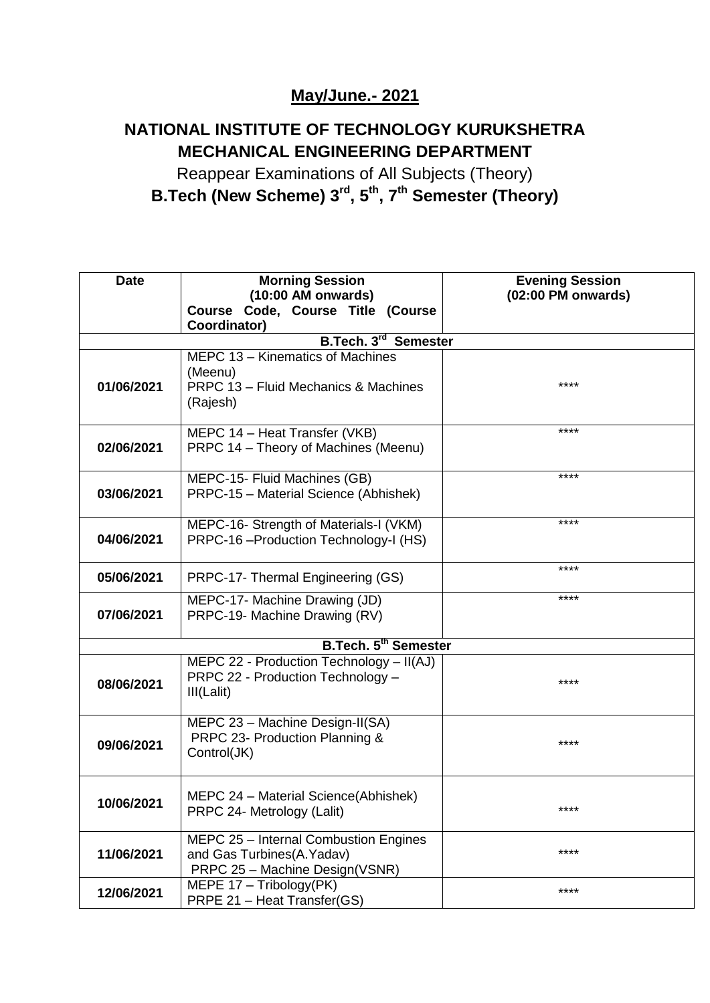## **May/June.- 2021**

## **NATIONAL INSTITUTE OF TECHNOLOGY KURUKSHETRA MECHANICAL ENGINEERING DEPARTMENT**

Reappear Examinations of All Subjects (Theory) **B.Tech (New Scheme) 3rd, 5th, 7th Semester (Theory)**

| <b>Date</b>                    | <b>Morning Session</b><br>$(10:00$ AM onwards)                                                       | <b>Evening Session</b><br>(02:00 PM onwards) |  |
|--------------------------------|------------------------------------------------------------------------------------------------------|----------------------------------------------|--|
|                                | Course Code, Course Title (Course<br>Coordinator)                                                    |                                              |  |
| B.Tech. 3rd<br><b>Semester</b> |                                                                                                      |                                              |  |
|                                | MEPC 13 - Kinematics of Machines<br>(Meenu)                                                          | ****                                         |  |
| 01/06/2021                     | PRPC 13 - Fluid Mechanics & Machines<br>(Rajesh)                                                     |                                              |  |
| 02/06/2021                     | MEPC 14 - Heat Transfer (VKB)<br>PRPC 14 - Theory of Machines (Meenu)                                | ****                                         |  |
| 03/06/2021                     | MEPC-15- Fluid Machines (GB)<br>PRPC-15 - Material Science (Abhishek)                                | ****                                         |  |
| 04/06/2021                     | MEPC-16- Strength of Materials-I (VKM)<br>PRPC-16 - Production Technology-I (HS)                     | ****                                         |  |
| 05/06/2021                     | PRPC-17- Thermal Engineering (GS)                                                                    | ****                                         |  |
| 07/06/2021                     | MEPC-17- Machine Drawing (JD)<br>PRPC-19- Machine Drawing (RV)                                       | ****                                         |  |
| <b>B.Tech. 5th Semester</b>    |                                                                                                      |                                              |  |
| 08/06/2021                     | MEPC 22 - Production Technology - II(AJ)<br>PRPC 22 - Production Technology -<br>III(Lalit)          | ****                                         |  |
| 09/06/2021                     | MEPC 23 - Machine Design-II(SA)<br>PRPC 23- Production Planning &<br>Control(JK)                     | ****                                         |  |
| 10/06/2021                     | MEPC 24 - Material Science(Abhishek)<br>PRPC 24- Metrology (Lalit)                                   | ****                                         |  |
| 11/06/2021                     | MEPC 25 - Internal Combustion Engines<br>and Gas Turbines(A.Yadav)<br>PRPC 25 - Machine Design(VSNR) | ****                                         |  |
| 12/06/2021                     | MEPE 17 - Tribology(PK)<br>PRPE 21 - Heat Transfer(GS)                                               | ****                                         |  |